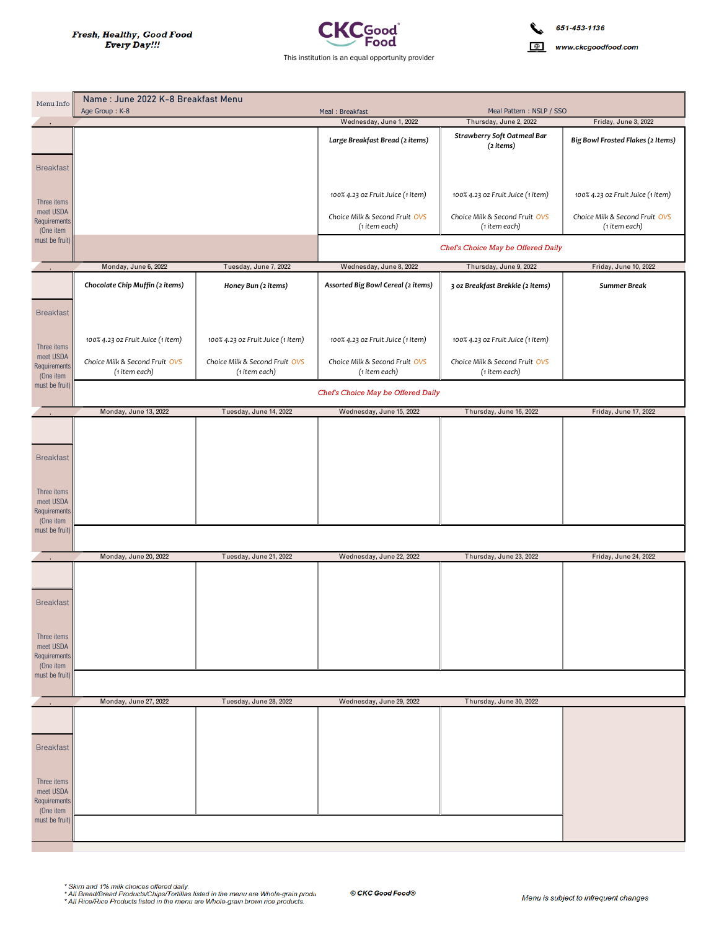Name: June 2022 K-8 Breakfast Menu



www.ckcgoodfood.com

| Menu Info                   | Name : June 2022 K-8 Breakfast Menu             |                                                 |                                                 |                                                    |                                   |  |  |
|-----------------------------|-------------------------------------------------|-------------------------------------------------|-------------------------------------------------|----------------------------------------------------|-----------------------------------|--|--|
|                             | Age Group: K-8                                  |                                                 | Meal: Breakfast<br>Wednesday, June 1, 2022      | Meal Pattern: NSLP / SSO<br>Thursday, June 2, 2022 | Friday, June 3, 2022              |  |  |
|                             |                                                 |                                                 | Large Breakfast Bread (2 items)                 | Strawberry Soft Oatmeal Bar                        | Big Bowl Frosted Flakes (2 Items) |  |  |
|                             |                                                 |                                                 |                                                 | (2 items)                                          |                                   |  |  |
| <b>Breakfast</b>            |                                                 |                                                 |                                                 |                                                    |                                   |  |  |
|                             |                                                 |                                                 |                                                 |                                                    |                                   |  |  |
|                             |                                                 |                                                 | 100% 4.23 oz Fruit Juice (1 item)               | 100% 4.23 oz Fruit Juice (1 item)                  | 100% 4.23 oz Fruit Juice (1 item) |  |  |
| Three items<br>meet USDA    |                                                 |                                                 |                                                 |                                                    |                                   |  |  |
| <b>Requirements</b>         |                                                 |                                                 | Choice Milk & Second Fruit OVS                  | Choice Milk & Second Fruit OVS                     | Choice Milk & Second Fruit OVS    |  |  |
| (One item<br>must be fruit) |                                                 |                                                 | (1 item each)                                   | (1 item each)                                      | (1 item each)                     |  |  |
|                             |                                                 |                                                 | Chef's Choice May be Offered Daily              |                                                    |                                   |  |  |
|                             | Monday, June 6, 2022                            | Tuesday, June 7, 2022                           | Wednesday, June 8, 2022                         | Thursday, June 9, 2022                             | Friday, June 10, 2022             |  |  |
|                             | Chocolate Chip Muffin (2 items)                 | Honey Bun (2 items)                             | Assorted Big Bowl Cereal (2 items)              | 3 oz Breakfast Brekkie (2 items)                   | Summer Break                      |  |  |
|                             |                                                 |                                                 |                                                 |                                                    |                                   |  |  |
| <b>Breakfast</b>            |                                                 |                                                 |                                                 |                                                    |                                   |  |  |
|                             |                                                 |                                                 |                                                 |                                                    |                                   |  |  |
|                             | 100% 4.23 oz Fruit Juice (1 item)               | 100% 4.23 oz Fruit Juice (1 item)               | 100% 4.23 oz Fruit Juice (1 item)               | 100% 4.23 oz Fruit Juice (1 item)                  |                                   |  |  |
| Three items<br>meet USDA    |                                                 |                                                 |                                                 |                                                    |                                   |  |  |
| Requirements                | Choice Milk & Second Fruit OVS<br>(1 item each) | Choice Milk & Second Fruit OVS<br>(1 item each) | Choice Milk & Second Fruit OVS<br>(1 item each) | Choice Milk & Second Fruit OVS<br>(1 item each)    |                                   |  |  |
| (One item<br>must be fruit) |                                                 |                                                 |                                                 |                                                    |                                   |  |  |
|                             | Chef's Choice May be Offered Daily              |                                                 |                                                 |                                                    |                                   |  |  |
|                             | Monday, June 13, 2022                           | Tuesday, June 14, 2022                          | Wednesday, June 15, 2022                        | Thursday, June 16, 2022                            | Friday, June 17, 2022             |  |  |
|                             |                                                 |                                                 |                                                 |                                                    |                                   |  |  |
|                             |                                                 |                                                 |                                                 |                                                    |                                   |  |  |
| <b>Breakfast</b>            |                                                 |                                                 |                                                 |                                                    |                                   |  |  |
|                             |                                                 |                                                 |                                                 |                                                    |                                   |  |  |
|                             |                                                 |                                                 |                                                 |                                                    |                                   |  |  |
| Three items<br>meet USDA    |                                                 |                                                 |                                                 |                                                    |                                   |  |  |
| Requirements<br>(One item   |                                                 |                                                 |                                                 |                                                    |                                   |  |  |
| must be fruit)              |                                                 |                                                 |                                                 |                                                    |                                   |  |  |
|                             |                                                 |                                                 |                                                 |                                                    |                                   |  |  |
|                             | Monday, June 20, 2022                           | Tuesday, June 21, 2022                          | Wednesday, June 22, 2022                        | Thursday, June 23, 2022                            | Friday, June 24, 2022             |  |  |
|                             |                                                 |                                                 |                                                 |                                                    |                                   |  |  |
|                             |                                                 |                                                 |                                                 |                                                    |                                   |  |  |
| <b>Breakfast</b>            |                                                 |                                                 |                                                 |                                                    |                                   |  |  |
|                             |                                                 |                                                 |                                                 |                                                    |                                   |  |  |
| Three items                 |                                                 |                                                 |                                                 |                                                    |                                   |  |  |
| meet USDA                   |                                                 |                                                 |                                                 |                                                    |                                   |  |  |
| Requirements<br>(One item   |                                                 |                                                 |                                                 |                                                    |                                   |  |  |
| must be fruit)              |                                                 |                                                 |                                                 |                                                    |                                   |  |  |
|                             |                                                 |                                                 |                                                 |                                                    |                                   |  |  |
|                             | Monday, June 27, 2022                           | Tuesday, June 28, 2022                          | Wednesday, June 29, 2022                        | Thursday, June 30, 2022                            |                                   |  |  |
|                             |                                                 |                                                 |                                                 |                                                    |                                   |  |  |
|                             |                                                 |                                                 |                                                 |                                                    |                                   |  |  |
| <b>Breakfast</b>            |                                                 |                                                 |                                                 |                                                    |                                   |  |  |
|                             |                                                 |                                                 |                                                 |                                                    |                                   |  |  |
| Three items                 |                                                 |                                                 |                                                 |                                                    |                                   |  |  |
| meet USDA<br>Requirements   |                                                 |                                                 |                                                 |                                                    |                                   |  |  |
| (One item                   |                                                 |                                                 |                                                 |                                                    |                                   |  |  |
| must be fruit)              |                                                 |                                                 |                                                 |                                                    |                                   |  |  |
|                             |                                                 |                                                 |                                                 |                                                    |                                   |  |  |

```
* Skim and 1% milk choices offered daily.<br>* All Bread/Bread Products/Chips/Tortillas listed in the menu are Whole-grain produ<br>* All Rice/Rice Products listed in the menu are Whole-grain brown rice products.
```